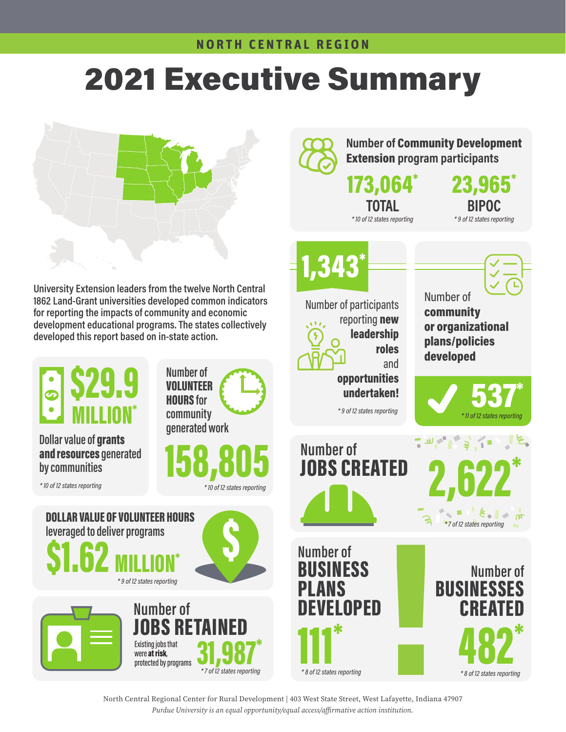# **2021 Executive Summary**

Number of Community Development

Number of community

or organizational

23,965\*

BIPOC

\* 9 of 12 states reporting

Extension program participants

173,064\*

TOTAL

\* 10 of 12 states reporting

1,343\*

 $\sqrt{1}L$ 

Number of participants

reporting **new** leadership



University Extension leaders from the twelve North Central 1862 Land-Grant universities developed common indicators for reporting the impacts of community and economic development educational programs. The states collectively developed this report based on in-state action.



North Central Regional Center for Rural Development | 403 West State Street, West Lafayette, Indiana 47907 *Purdue University is an equal opportunity/equal access/affirmative action institution.*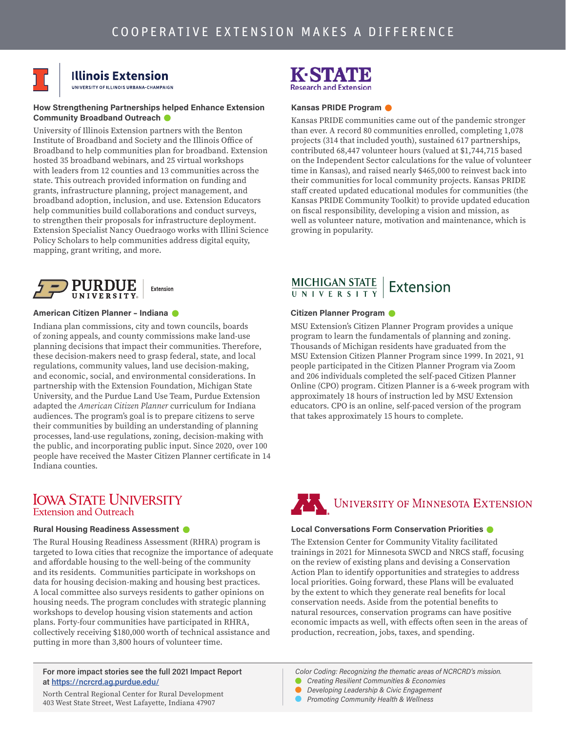

# **Illinois Extension**<br>UNIVERSITY OF ILLINOIS URBANA-CHAMPAIGN

### How Strengthening Partnerships helped Enhance Extension Community Broadband Outreach  $\bullet$

University of Illinois Extension partners with the Benton Institute of Broadband and Society and the Illinois Office of Broadband to help communities plan for broadband. Extension hosted 35 broadband webinars, and 25 virtual workshops with leaders from 12 counties and 13 communities across the state. This outreach provided information on funding and grants, infrastructure planning, project management, and broadband adoption, inclusion, and use. Extension Educators help communities build collaborations and conduct surveys, to strengthen their proposals for infrastructure deployment. Extension Specialist Nancy Ouedraogo works with Illini Science Policy Scholars to help communities address digital equity, mapping, grant writing, and more.



### American Citizen Planner – Indiana

Indiana plan commissions, city and town councils, boards of zoning appeals, and county commissions make land-use planning decisions that impact their communities. Therefore, these decision-makers need to grasp federal, state, and local regulations, community values, land use decision-making, and economic, social, and environmental considerations. In partnership with the Extension Foundation, Michigan State University, and the Purdue Land Use Team, Purdue Extension adapted the *American Citizen Planner* curriculum for Indiana audiences. The program's goal is to prepare citizens to serve their communities by building an understanding of planning processes, land-use regulations, zoning, decision-making with the public, and incorporating public input. Since 2020, over 100 people have received the Master Citizen Planner certificate in 14 Indiana counties.

# **IOWA STATE UNIVERSITY Extension and Outreach**

# Rural Housing Readiness Assessment

The Rural Housing Readiness Assessment (RHRA) program is targeted to Iowa cities that recognize the importance of adequate and affordable housing to the well-being of the community and its residents. Communities participate in workshops on data for housing decision-making and housing best practices. A local committee also surveys residents to gather opinions on housing needs. The program concludes with strategic planning workshops to develop housing vision statements and action plans. Forty-four communities have participated in RHRA, collectively receiving \$180,000 worth of technical assistance and putting in more than 3,800 hours of volunteer time.

### For more impact stories see the full 2021 Impact Report at<https://ncrcrd.ag.purdue.edu/>

North Central Regional Center for Rural Development 403 West State Street, West Lafayette, Indiana 47907



### Kansas PRIDE Program

Kansas PRIDE communities came out of the pandemic stronger than ever. A record 80 communities enrolled, completing 1,078 projects (314 that included youth), sustained 617 partnerships, contributed 68,447 volunteer hours (valued at \$1,744,715 based on the Independent Sector calculations for the value of volunteer time in Kansas), and raised nearly \$465,000 to reinvest back into their communities for local community projects. Kansas PRIDE staff created updated educational modules for communities (the Kansas PRIDE Community Toolkit) to provide updated education on fiscal responsibility, developing a vision and mission, as well as volunteer nature, motivation and maintenance, which is growing in popularity.

# $\underbrace{\text{MICHIGAN STATE}}_{\text{U N I V E R S I T Y}}$  Extension

### Citizen Planner Program

MSU Extension's Citizen Planner Program provides a unique program to learn the fundamentals of planning and zoning. Thousands of Michigan residents have graduated from the MSU Extension Citizen Planner Program since 1999. In 2021, 91 people participated in the Citizen Planner Program via Zoom and 206 individuals completed the self-paced Citizen Planner Online (CPO) program. Citizen Planner is a 6-week program with approximately 18 hours of instruction led by MSU Extension educators. CPO is an online, self-paced version of the program that takes approximately 15 hours to complete.

# UNIVERSITY OF MINNESOTA EXTENSION

### Local Conversations Form Conservation Priorities

The Extension Center for Community Vitality facilitated trainings in 2021 for Minnesota SWCD and NRCS staff, focusing on the review of existing plans and devising a Conservation Action Plan to identify opportunities and strategies to address local priorities. Going forward, these Plans will be evaluated by the extent to which they generate real benefits for local conservation needs. Aside from the potential benefits to natural resources, conservation programs can have positive economic impacts as well, with effects often seen in the areas of production, recreation, jobs, taxes, and spending.

Color Coding: Recognizing the thematic areas of NCRCRD's mission.

- Creating Resilient Communities & Economies
- Developing Leadership & Civic Engagement
- Promoting Community Health & Wellness